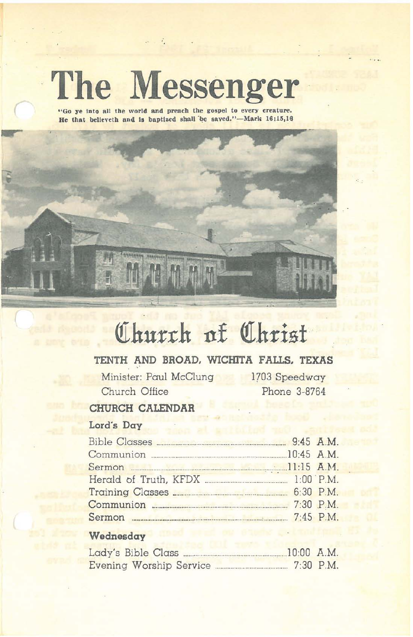# **The Messenger**

**"Go ye Into all the world and preaeh the gospel to every creature.** He that believeth and is baptized shall be saved."-Mark 16:15,16

# **QIhurth 11£ QIhrisf**

# **TENTH AND BROAD. WICHITA FALLS. TEXAS**

R.

Minister: Paul McClung Church Office

1703 Speedway Phone 3-8764

# **CHURCH CALENDAR**

# Lord's **Day**

....

#### **Wednesday**

| Lady's Bible Class |  |                          |  | $10:00$ A.M. |
|--------------------|--|--------------------------|--|--------------|
|                    |  | Evening Worship Service. |  | $7:30$ P.M.  |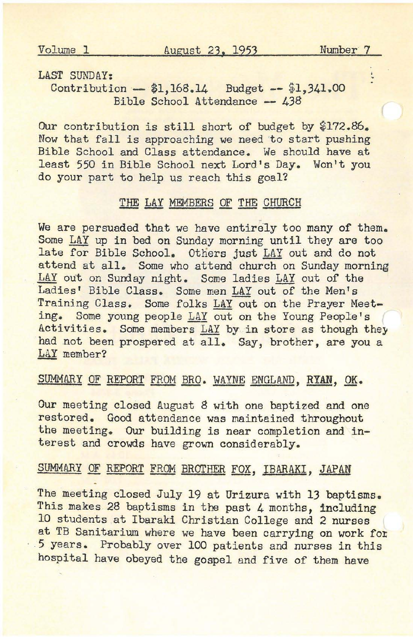$\ddot{\phantom{0}}$ 

#### LAST SUNDAY:

Contribution \$1,168.14 Budget **--** \$1,341.00 Bible School Attendance **--** 438

Our contribution is still short of budget by \$172.86. Now that fall is approaching we need to start pushing Bible School and Class attendance. We should have at least 550 in Bible School next Lord's Day. Won't you do your part to help us reach this goal?

## THE LAY MEMBERS OF THE CHURCH

We are persuaded that we have entirely too many of them. Some LAY up in bed on Sunday morning until they are too late for Bible School. Others just LAY out and do not attend at all. Some who attend church on Sunday morning LAY out on Sunday night. Some ladies LAY out of the Ladies' Bible Class. Some men LAY out of the Men's Training Class. Some folks LAY out on the Prayer Meeting. Some young people LAY out on the Young People's Activities. Some members LAY by in store as though they had not been prospered at all. Say, brother, are you a LaY member?

#### SUMMARY OF REPORT FROM BRO. WAYNE ENGLAND, RYAN, OK.

Our meeting closed August 8 with one baptized and one restored. Good attendance was maintained throughout the meeting. Our building is near completion and interest and crowds have grown considerably.

## SUMMARY OF REPORT FROM BROTHER FOX, IBARAKI, JAPAN

The meeting closed July 19 at Urizura with 13 baptisms. This makes 28 baptisms in the past 4 months, including 10 students at Ibaraki Christian College and 2 nurses at TB Sanitarium where we have been carrying on work fox .5 years. Probably over 100 patients and nurses in this hospital have obeyed the gospel and five of them have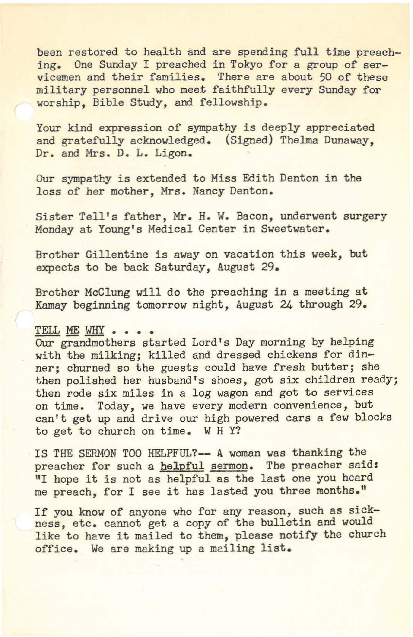been restored to health and are spending full time preaching. One Sunday I preached in Tokyo for a group of servicemen and their families. There are about 50 of these military personnel who meet faithfully every Sunday for worship, Bible Study, and fellowship.

Your kind expression of sympathy is deeply appreciated and gratefully acknowledged. (Signed) Thelma Dunaway, Dr. and Mrs. D. L. Ligon.

Our sympathy is extended to Miss Edith Denton in the loss of her mother, Mrs. Nancy Denton.

Sister Tell's father, Mr. H. W. Bacon, underwent surgery Monday at Young's Medical Center in Sweetwater.

Brother Gillentine is away on vacation this week, but expects to be back Saturday, August 29.

Brother McClung will do the preaching in a meeting at Kamay beginning tomorrow night, August 24 through 29.

#### TELL ME WHY . . . .

Our grandmothers started Lord's Day morning by helping with the milking; killed and dressed chickens for dinner; churned so the guests could have fresh butter; she then polished her husband's shoes, got six children ready; then rode six miles in a log wagon and got to services on time. Today, we have every modern convenience, but can't get up and drive our high powered cars a few blocks to get to church on time. WHY?

IS THE SERMON TOO HELPFUL?- A woman was thanking the preacher for such a helpful sermon. The preacher said: "I hope it is not as helpful as the last one you heard me preach, for <sup>I</sup> see it has lasted you three months."

If you know of anyone who for any reason, such as sickness, etc. cannot get a copy of the bulletin end would like to have it mailed to them, please notify the church office. We are making up a mailing list.